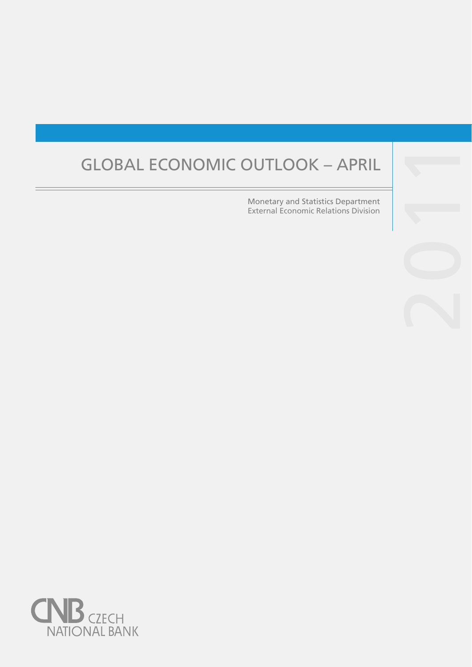# GLOBAL ECONOMIC OUTLOOK – APRIL

 Monetary and Statistics Department External Economic Relations Division

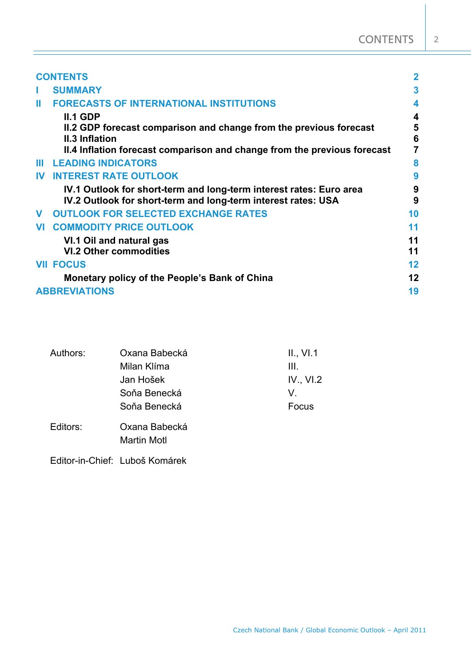|              | <b>CONTENTS</b>                                                                                                                      |          |
|--------------|--------------------------------------------------------------------------------------------------------------------------------------|----------|
| ı            | <b>SUMMARY</b>                                                                                                                       | 3        |
| Ш            | <b>FORECASTS OF INTERNATIONAL INSTITUTIONS</b>                                                                                       | 4        |
|              | <b>II.1 GDP</b>                                                                                                                      | 4        |
|              | II.2 GDP forecast comparison and change from the previous forecast<br><b>II.3 Inflation</b>                                          | 5<br>6   |
|              | II.4 Inflation forecast comparison and change from the previous forecast                                                             |          |
| ш            | <b>LEADING INDICATORS</b>                                                                                                            | 8        |
| $\mathbf{N}$ | <b>INTEREST RATE OUTLOOK</b>                                                                                                         | 9        |
|              | IV.1 Outlook for short-term and long-term interest rates: Euro area<br>IV.2 Outlook for short-term and long-term interest rates: USA | 9<br>9   |
| $\mathbf{V}$ | <b>OUTLOOK FOR SELECTED EXCHANGE RATES</b>                                                                                           | 10       |
|              | <b>VI COMMODITY PRICE OUTLOOK</b>                                                                                                    | 11       |
|              | VI.1 Oil and natural gas<br><b>VI.2 Other commodities</b>                                                                            | 11<br>11 |
|              | <b>VII FOCUS</b>                                                                                                                     | 12       |
|              | Monetary policy of the People's Bank of China                                                                                        | 12       |
|              | <b>ABBREVIATIONS</b>                                                                                                                 | 19       |

| Authors: | Oxana Babecká      | II., VI.1 |  |  |  |
|----------|--------------------|-----------|--|--|--|
|          | Milan Klíma        | III.      |  |  |  |
|          | Jan Hošek          | IV., VI.2 |  |  |  |
|          | Soňa Benecká       | V.        |  |  |  |
|          | Soňa Benecká       | Focus     |  |  |  |
| Editors: | Oxana Babecká      |           |  |  |  |
|          | <b>Martin Motl</b> |           |  |  |  |

Editor-in-Chief: Luboš Komárek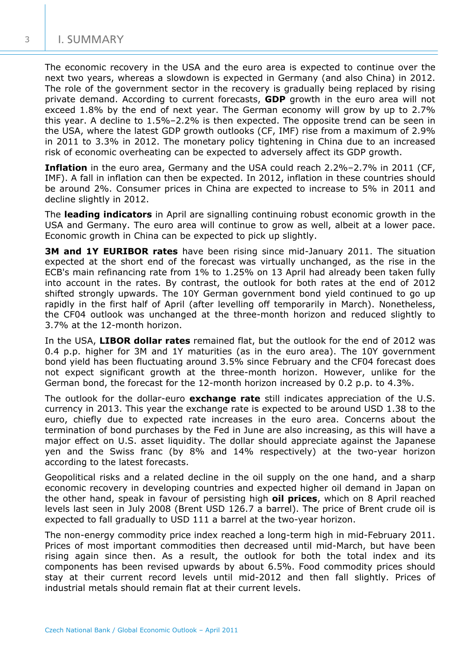The economic recovery in the USA and the euro area is expected to continue over the next two years, whereas a slowdown is expected in Germany (and also China) in 2012. The role of the government sector in the recovery is gradually being replaced by rising private demand. According to current forecasts, **GDP** growth in the euro area will not exceed 1.8% by the end of next year. The German economy will grow by up to 2.7% this year. A decline to 1.5%–2.2% is then expected. The opposite trend can be seen in the USA, where the latest GDP growth outlooks (CF, IMF) rise from a maximum of 2.9% in 2011 to 3.3% in 2012. The monetary policy tightening in China due to an increased risk of economic overheating can be expected to adversely affect its GDP growth.

**Inflation** in the euro area, Germany and the USA could reach 2.2%–2.7% in 2011 (CF, IMF). A fall in inflation can then be expected. In 2012, inflation in these countries should be around 2%. Consumer prices in China are expected to increase to 5% in 2011 and decline slightly in 2012.

The **leading indicators** in April are signalling continuing robust economic growth in the USA and Germany. The euro area will continue to grow as well, albeit at a lower pace. Economic growth in China can be expected to pick up slightly.

**3M and 1Y EURIBOR rates** have been rising since mid-January 2011. The situation expected at the short end of the forecast was virtually unchanged, as the rise in the ECB's main refinancing rate from 1% to 1.25% on 13 April had already been taken fully into account in the rates. By contrast, the outlook for both rates at the end of 2012 shifted strongly upwards. The 10Y German government bond yield continued to go up rapidly in the first half of April (after levelling off temporarily in March). Nonetheless, the CF04 outlook was unchanged at the three-month horizon and reduced slightly to 3.7% at the 12-month horizon.

In the USA, **LIBOR dollar rates** remained flat, but the outlook for the end of 2012 was 0.4 p.p. higher for 3M and 1Y maturities (as in the euro area). The 10Y government bond yield has been fluctuating around 3.5% since February and the CF04 forecast does not expect significant growth at the three-month horizon. However, unlike for the German bond, the forecast for the 12-month horizon increased by 0.2 p.p. to 4.3%.

The outlook for the dollar-euro **exchange rate** still indicates appreciation of the U.S. currency in 2013. This year the exchange rate is expected to be around USD 1.38 to the euro, chiefly due to expected rate increases in the euro area. Concerns about the termination of bond purchases by the Fed in June are also increasing, as this will have a major effect on U.S. asset liquidity. The dollar should appreciate against the Japanese yen and the Swiss franc (by 8% and 14% respectively) at the two-year horizon according to the latest forecasts.

Geopolitical risks and a related decline in the oil supply on the one hand, and a sharp economic recovery in developing countries and expected higher oil demand in Japan on the other hand, speak in favour of persisting high **oil prices**, which on 8 April reached levels last seen in July 2008 (Brent USD 126.7 a barrel). The price of Brent crude oil is expected to fall gradually to USD 111 a barrel at the two-year horizon.

The non-energy commodity price index reached a long-term high in mid-February 2011. Prices of most important commodities then decreased until mid-March, but have been rising again since then. As a result, the outlook for both the total index and its components has been revised upwards by about 6.5%. Food commodity prices should stay at their current record levels until mid-2012 and then fall slightly. Prices of industrial metals should remain flat at their current levels.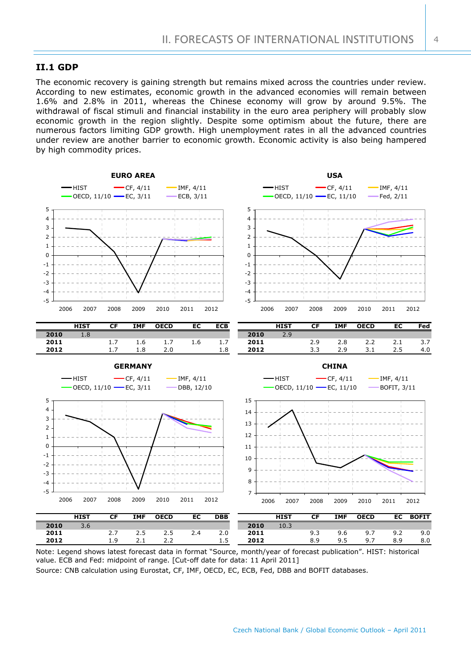## **II.1 GDP**

The economic recovery is gaining strength but remains mixed across the countries under review. According to new estimates, economic growth in the advanced economies will remain between 1.6% and 2.8% in 2011, whereas the Chinese economy will grow by around 9.5%. The withdrawal of fiscal stimuli and financial instability in the euro area periphery will probably slow economic growth in the region slightly. Despite some optimism about the future, there are numerous factors limiting GDP growth. High unemployment rates in all the advanced countries under review are another barrier to economic growth. Economic activity is also being hampered by high commodity prices.



Note: Legend shows latest forecast data in format "Source, month/year of forecast publication". HIST: historical value. ECB and Fed: midpoint of range. [Cut-off date for data: 11 April 2011]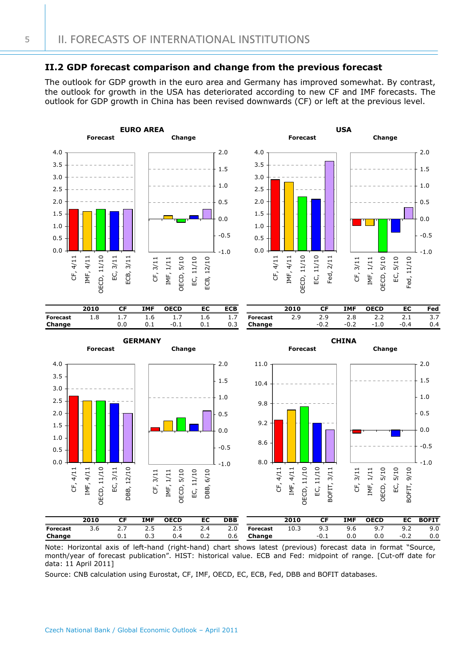## **II.2 GDP forecast comparison and change from the previous forecast**

The outlook for GDP growth in the euro area and Germany has improved somewhat. By contrast, the outlook for growth in the USA has deteriorated according to new CF and IMF forecasts. The outlook for GDP growth in China has been revised downwards (CF) or left at the previous level.



|                 | 2010                                                                                                                | <b>IMF</b> | <b>OECD</b> | EC  | <b>DBB</b> |     |                 | 2010 |        | <b>IMF</b> | <b>OECD</b> | EC .   | BOFIT |
|-----------------|---------------------------------------------------------------------------------------------------------------------|------------|-------------|-----|------------|-----|-----------------|------|--------|------------|-------------|--------|-------|
| <b>Forecast</b> |                                                                                                                     |            |             |     |            | 2.0 | <b>Forecast</b> | 10.3 | 9.3    | 9.6        |             |        | 9.0   |
| Change          |                                                                                                                     | 0.3        |             | 0.2 |            |     | $0.6$ Change    |      | $-0.1$ | 0.0        | 0.0         | $-0.2$ | 0.0   |
|                 | ممسومات المستحملية والمساح والمتحدثين أحمدت والمستعار والمستعمل والمسمط طماحات أراحي والمستحقق والمستحقق والمستحدثة |            |             |     |            |     |                 |      |        |            |             |        |       |

Note: Horizontal axis of left-hand (right-hand) chart shows latest (previous) forecast data in format "Source, month/year of forecast publication". HIST: historical value. ECB and Fed: midpoint of range. [Cut-off date for data: 11 April 2011]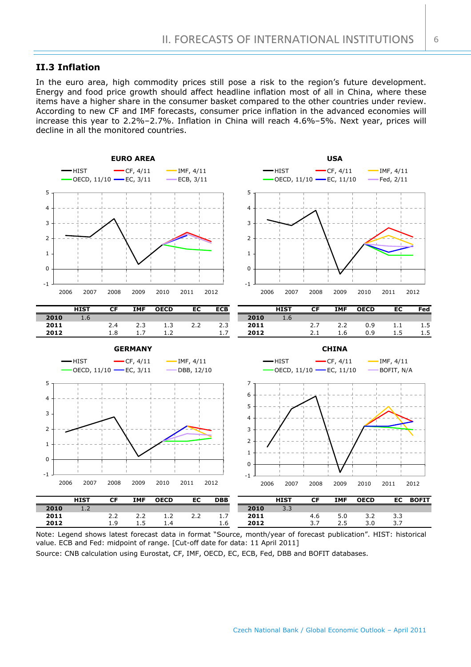## **II.3 Inflation**

In the euro area, high commodity prices still pose a risk to the region's future development. Energy and food price growth should affect headline inflation most of all in China, where these items have a higher share in the consumer basket compared to the other countries under review. According to new CF and IMF forecasts, consumer price inflation in the advanced economies will increase this year to 2.2%–2.7%. Inflation in China will reach 4.6%–5%. Next year, prices will decline in all the monitored countries.



Note: Legend shows latest forecast data in format "Source, month/year of forecast publication". HIST: historical value. ECB and Fed: midpoint of range. [Cut-off date for data: 11 April 2011]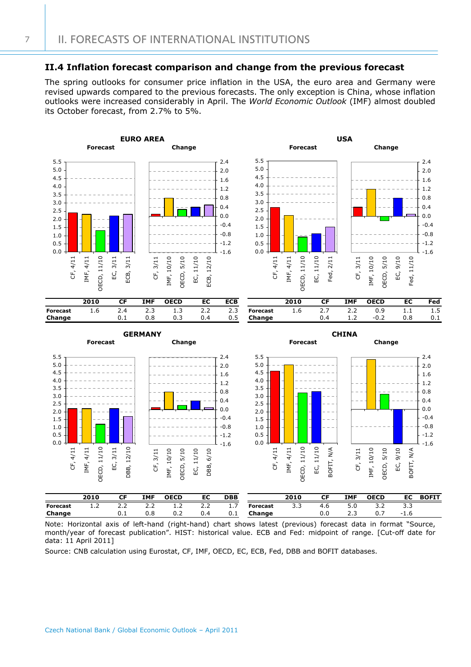## **II.4 Inflation forecast comparison and change from the previous forecast**

The spring outlooks for consumer price inflation in the USA, the euro area and Germany were revised upwards compared to the previous forecasts. The only exception is China, whose inflation outlooks were increased considerably in April. The *World Economic Outlook* (IMF) almost doubled its October forecast, from 2.7% to 5%.



Note: Horizontal axis of left-hand (right-hand) chart shows latest (previous) forecast data in format "Source, month/year of forecast publication". HIST: historical value. ECB and Fed: midpoint of range. [Cut-off date for data: 11 April 2011]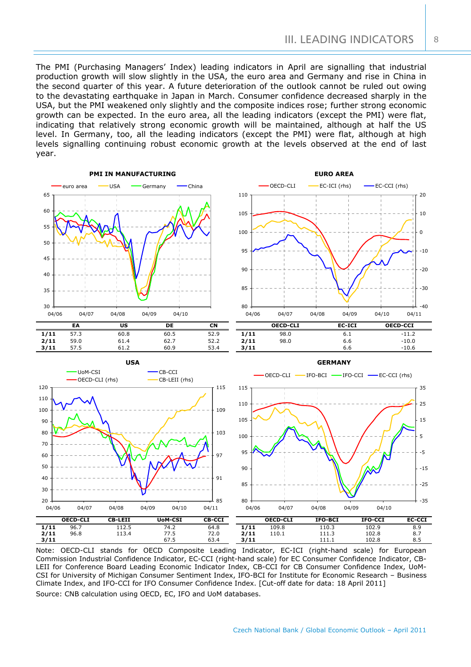The PMI (Purchasing Managers' Index) leading indicators in April are signalling that industrial production growth will slow slightly in the USA, the euro area and Germany and rise in China in the second quarter of this year. A future deterioration of the outlook cannot be ruled out owing to the devastating earthquake in Japan in March. Consumer confidence decreased sharply in the USA, but the PMI weakened only slightly and the composite indices rose; further strong economic growth can be expected. In the euro area, all the leading indicators (except the PMI) were flat, indicating that relatively strong economic growth will be maintained, although at half the US level. In Germany, too, all the leading indicators (except the PMI) were flat, although at high levels signalling continuing robust economic growth at the levels observed at the end of last year.



Note: OECD-CLI stands for OECD Composite Leading Indicator, EC-ICI (right-hand scale) for European Commission Industrial Confidence Indicator, EC-CCI (right-hand scale) for EC Consumer Confidence Indicator, CB-LEII for Conference Board Leading Economic Indicator Index, CB-CCI for CB Consumer Confidence Index, UoM-CSI for University of Michigan Consumer Sentiment Index, IFO-BCI for Institute for Economic Research – Business Climate Index, and IFO-CCI for IFO Consumer Confidence Index. [Cut-off date for data: 18 April 2011] Source: CNB calculation using OECD, EC, IFO and UoM databases.

8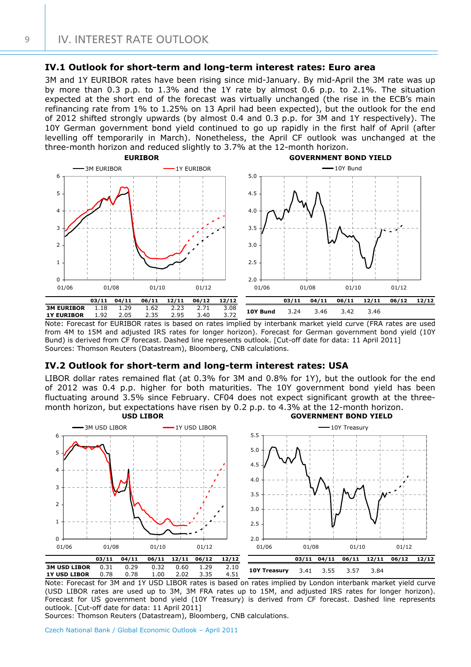## **IV.1 Outlook for short-term and long-term interest rates: Euro area**

3M and 1Y EURIBOR rates have been rising since mid-January. By mid-April the 3M rate was up by more than 0.3 p.p. to 1.3% and the 1Y rate by almost 0.6 p.p. to 2.1%. The situation expected at the short end of the forecast was virtually unchanged (the rise in the ECB's main refinancing rate from 1% to 1.25% on 13 April had been expected), but the outlook for the end of 2012 shifted strongly upwards (by almost 0.4 and 0.3 p.p. for 3M and 1Y respectively). The 10Y German government bond yield continued to go up rapidly in the first half of April (after levelling off temporarily in March). Nonetheless, the April CF outlook was unchanged at the three-month horizon and reduced slightly to 3.7% at the 12-month horizon.



Note: Forecast for EURIBOR rates is based on rates implied by interbank market yield curve (FRA rates are used from 4M to 15M and adjusted IRS rates for longer horizon). Forecast for German government bond yield (10Y Bund) is derived from CF forecast. Dashed line represents outlook. [Cut-off date for data: 11 April 2011] Sources: Thomson Reuters (Datastream), Bloomberg, CNB calculations.

## **IV.2 Outlook for short-term and long-term interest rates: USA**

LIBOR dollar rates remained flat (at 0.3% for 3M and 0.8% for 1Y), but the outlook for the end of 2012 was 0.4 p.p. higher for both maturities. The 10Y government bond yield has been fluctuating around 3.5% since February. CF04 does not expect significant growth at the threemonth horizon, but expectations have risen by 0.2 p.p. to 4.3% at the 12-month horizon. **USD LIBOR GOVERNMENT BOND YIELD**



Note: Forecast for 3M and 1Y USD LIBOR rates is based on rates implied by London interbank market yield curve (USD LIBOR rates are used up to 3M, 3M FRA rates up to 15M, and adjusted IRS rates for longer horizon). Forecast for US government bond yield (10Y Treasury) is derived from CF forecast. Dashed line represents outlook. [Cut-off date for data: 11 April 2011]

Sources: Thomson Reuters (Datastream), Bloomberg, CNB calculations.

Czech National Bank / Global Economic Outlook – April 2011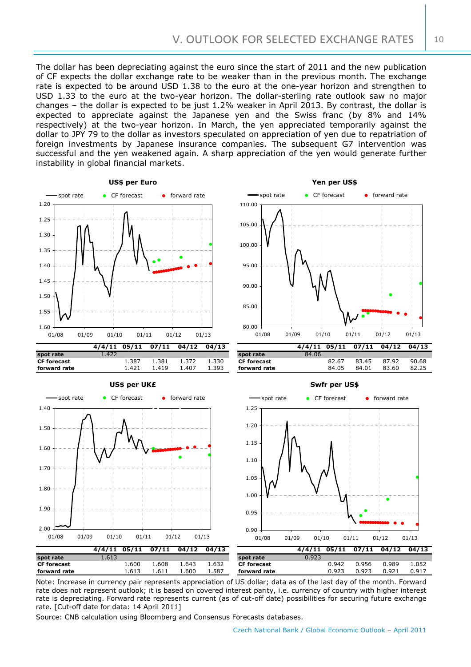10

The dollar has been depreciating against the euro since the start of 2011 and the new publication of CF expects the dollar exchange rate to be weaker than in the previous month. The exchange rate is expected to be around USD 1.38 to the euro at the one-year horizon and strengthen to USD 1.33 to the euro at the two-year horizon. The dollar-sterling rate outlook saw no major changes – the dollar is expected to be just 1.2% weaker in April 2013. By contrast, the dollar is expected to appreciate against the Japanese yen and the Swiss franc (by 8% and 14% respectively) at the two-year horizon. In March, the yen appreciated temporarily against the dollar to JPY 79 to the dollar as investors speculated on appreciation of yen due to repatriation of foreign investments by Japanese insurance companies. The subsequent G7 intervention was successful and the yen weakened again. A sharp appreciation of the yen would generate further instability in global financial markets.



Note: Increase in currency pair represents appreciation of US dollar; data as of the last day of the month. Forward rate does not represent outlook; it is based on covered interest parity, i.e. currency of country with higher interest rate is depreciating. Forward rate represents current (as of cut-off date) possibilities for securing future exchange rate. [Cut-off date for data: 14 April 2011]

Source: CNB calculation using Bloomberg and Consensus Forecasts databases.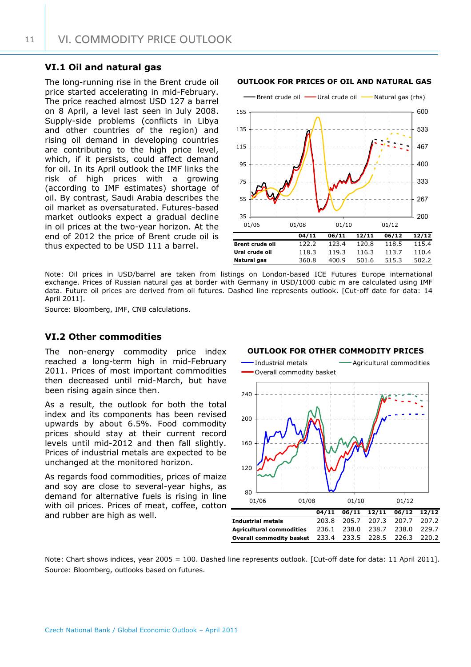## **VI.1 Oil and natural gas**

The long-running rise in the Brent crude oil price started accelerating in mid-February. The price reached almost USD 127 a barrel on 8 April, a level last seen in July 2008. Supply-side problems (conflicts in Libya and other countries of the region) and rising oil demand in developing countries are contributing to the high price level, which, if it persists, could affect demand for oil. In its April outlook the IMF links the risk of high prices with a growing (according to IMF estimates) shortage of oil. By contrast, Saudi Arabia describes the oil market as oversaturated. Futures-based market outlooks expect a gradual decline in oil prices at the two-year horizon. At the end of 2012 the price of Brent crude oil is thus expected to be USD 111 a barrel.

## **OUTLOOK FOR PRICES OF OIL AND NATURAL GAS**



Note: Oil prices in USD/barrel are taken from listings on London-based ICE Futures Europe international exchange. Prices of Russian natural gas at border with Germany in USD/1000 cubic m are calculated using IMF data. Future oil prices are derived from oil futures. Dashed line represents outlook. [Cut-off date for data: 14 April 2011].

Source: Bloomberg, IMF, CNB calculations.

## **VI.2 Other commodities**

The non-energy commodity price index reached a long-term high in mid-February 2011. Prices of most important commodities then decreased until mid-March, but have been rising again since then.

As a result, the outlook for both the total index and its components has been revised upwards by about 6.5%. Food commodity prices should stay at their current record levels until mid-2012 and then fall slightly. Prices of industrial metals are expected to be unchanged at the monitored horizon.

As regards food commodities, prices of maize and soy are close to several-year highs, as demand for alternative fuels is rising in line with oil prices. Prices of meat, coffee, cotton

#### **OUTLOOK FOR OTHER COMMODITY PRICES**



Note: Chart shows indices, year 2005 = 100. Dashed line represents outlook. [Cut-off date for data: 11 April 2011]. Source: Bloomberg, outlooks based on futures.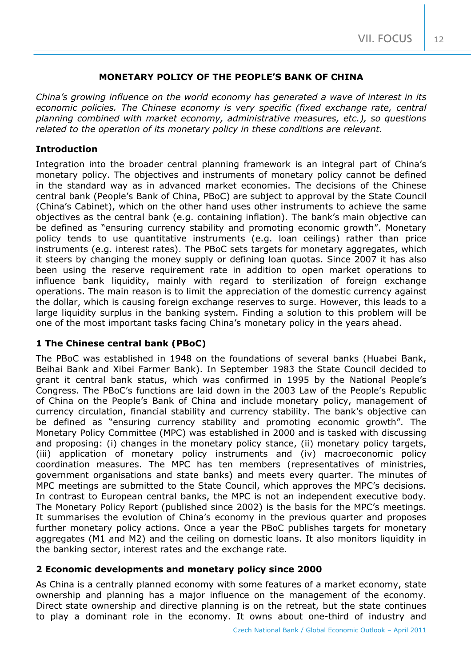## **MONETARY POLICY OF THE PEOPLE'S BANK OF CHINA**

*China's growing influence on the world economy has generated a wave of interest in its economic policies. The Chinese economy is very specific (fixed exchange rate, central planning combined with market economy, administrative measures, etc.), so questions related to the operation of its monetary policy in these conditions are relevant.*

## **Introduction**

Integration into the broader central planning framework is an integral part of China's monetary policy. The objectives and instruments of monetary policy cannot be defined in the standard way as in advanced market economies. The decisions of the Chinese central bank (People's Bank of China, PBoC) are subject to approval by the State Council (China's Cabinet), which on the other hand uses other instruments to achieve the same objectives as the central bank (e.g. containing inflation). The bank's main objective can be defined as "ensuring currency stability and promoting economic growth". Monetary policy tends to use quantitative instruments (e.g. loan ceilings) rather than price instruments (e.g. interest rates). The PBoC sets targets for monetary aggregates, which it steers by changing the money supply or defining loan quotas. Since 2007 it has also been using the reserve requirement rate in addition to open market operations to influence bank liquidity, mainly with regard to sterilization of foreign exchange operations. The main reason is to limit the appreciation of the domestic currency against the dollar, which is causing foreign exchange reserves to surge. However, this leads to a large liquidity surplus in the banking system. Finding a solution to this problem will be one of the most important tasks facing China's monetary policy in the years ahead.

## **1 The Chinese central bank (PBoC)**

The PBoC was established in 1948 on the foundations of several banks (Huabei Bank, Beihai Bank and Xibei Farmer Bank). In September 1983 the State Council decided to grant it central bank status, which was confirmed in 1995 by the National People's Congress. The PBoC's functions are laid down in the 2003 Law of the People's Republic of China on the People's Bank of China and include monetary policy, management of currency circulation, financial stability and currency stability. The bank's objective can be defined as "ensuring currency stability and promoting economic growth". The Monetary Policy Committee (MPC) was established in 2000 and is tasked with discussing and proposing: (i) changes in the monetary policy stance, (ii) monetary policy targets, (iii) application of monetary policy instruments and (iv) macroeconomic policy coordination measures. The MPC has ten members (representatives of ministries, government organisations and state banks) and meets every quarter. The minutes of MPC meetings are submitted to the State Council, which approves the MPC's decisions. In contrast to European central banks, the MPC is not an independent executive body. The Monetary Policy Report (published since 2002) is the basis for the MPC's meetings. It summarises the evolution of China's economy in the previous quarter and proposes further monetary policy actions. Once a year the PBoC publishes targets for monetary aggregates (M1 and M2) and the ceiling on domestic loans. It also monitors liquidity in the banking sector, interest rates and the exchange rate.

## **2 Economic developments and monetary policy since 2000**

As China is a centrally planned economy with some features of a market economy, state ownership and planning has a major influence on the management of the economy. Direct state ownership and directive planning is on the retreat, but the state continues to play a dominant role in the economy. It owns about one-third of industry and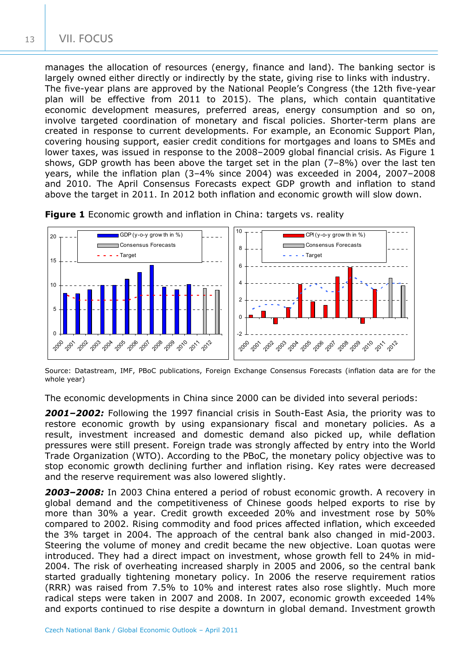manages the allocation of resources (energy, finance and land). The banking sector is largely owned either directly or indirectly by the state, giving rise to links with industry. The five-year plans are approved by the National People's Congress (the 12th five-year plan will be effective from 2011 to 2015). The plans, which contain quantitative economic development measures, preferred areas, energy consumption and so on, involve targeted coordination of monetary and fiscal policies. Shorter-term plans are created in response to current developments. For example, an Economic Support Plan, covering housing support, easier credit conditions for mortgages and loans to SMEs and lower taxes, was issued in response to the 2008–2009 global financial crisis. As Figure 1 shows, GDP growth has been above the target set in the plan (7–8%) over the last ten years, while the inflation plan (3–4% since 2004) was exceeded in 2004, 2007–2008 and 2010. The April Consensus Forecasts expect GDP growth and inflation to stand above the target in 2011. In 2012 both inflation and economic growth will slow down.



**Figure 1** Economic growth and inflation in China: targets vs. reality

Source: Datastream, IMF, PBoC publications, Foreign Exchange Consensus Forecasts (inflation data are for the whole year)

The economic developments in China since 2000 can be divided into several periods:

*2001–2002:* Following the 1997 financial crisis in South-East Asia, the priority was to restore economic growth by using expansionary fiscal and monetary policies. As a result, investment increased and domestic demand also picked up, while deflation pressures were still present. Foreign trade was strongly affected by entry into the World Trade Organization (WTO). According to the PBoC, the monetary policy objective was to stop economic growth declining further and inflation rising. Key rates were decreased and the reserve requirement was also lowered slightly.

*2003–2008:* In 2003 China entered a period of robust economic growth. A recovery in global demand and the competitiveness of Chinese goods helped exports to rise by more than 30% a year. Credit growth exceeded 20% and investment rose by 50% compared to 2002. Rising commodity and food prices affected inflation, which exceeded the 3% target in 2004. The approach of the central bank also changed in mid-2003. Steering the volume of money and credit became the new objective. Loan quotas were introduced. They had a direct impact on investment, whose growth fell to 24% in mid-2004. The risk of overheating increased sharply in 2005 and 2006, so the central bank started gradually tightening monetary policy. In 2006 the reserve requirement ratios (RRR) was raised from 7.5% to 10% and interest rates also rose slightly. Much more radical steps were taken in 2007 and 2008. In 2007, economic growth exceeded 14% and exports continued to rise despite a downturn in global demand. Investment growth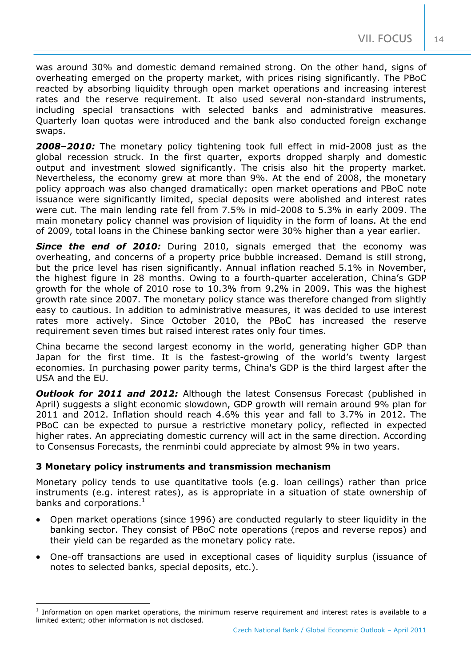was around 30% and domestic demand remained strong. On the other hand, signs of overheating emerged on the property market, with prices rising significantly. The PBoC reacted by absorbing liquidity through open market operations and increasing interest rates and the reserve requirement. It also used several non-standard instruments, including special transactions with selected banks and administrative measures. Quarterly loan quotas were introduced and the bank also conducted foreign exchange swaps.

*2008–2010:* The monetary policy tightening took full effect in mid-2008 just as the global recession struck. In the first quarter, exports dropped sharply and domestic output and investment slowed significantly. The crisis also hit the property market. Nevertheless, the economy grew at more than 9%. At the end of 2008, the monetary policy approach was also changed dramatically: open market operations and PBoC note issuance were significantly limited, special deposits were abolished and interest rates were cut. The main lending rate fell from 7.5% in mid-2008 to 5.3% in early 2009. The main monetary policy channel was provision of liquidity in the form of loans. At the end of 2009, total loans in the Chinese banking sector were 30% higher than a year earlier.

**Since the end of 2010:** During 2010, signals emerged that the economy was overheating, and concerns of a property price bubble increased. Demand is still strong, but the price level has risen significantly. Annual inflation reached 5.1% in November, the highest figure in 28 months. Owing to a fourth-quarter acceleration, China's GDP growth for the whole of 2010 rose to 10.3% from 9.2% in 2009. This was the highest growth rate since 2007. The monetary policy stance was therefore changed from slightly easy to cautious. In addition to administrative measures, it was decided to use interest rates more actively. Since October 2010, the PBoC has increased the reserve requirement seven times but raised interest rates only four times.

China became the second largest economy in the world, generating higher GDP than Japan for the first time. It is the fastest-growing of the world's twenty largest economies. In purchasing power parity terms, China's GDP is the third largest after the USA and the EU.

**Outlook for 2011 and 2012:** Although the latest Consensus Forecast (published in April) suggests a slight economic slowdown, GDP growth will remain around 9% plan for 2011 and 2012. Inflation should reach 4.6% this year and fall to 3.7% in 2012. The PBoC can be expected to pursue a restrictive monetary policy, reflected in expected higher rates. An appreciating domestic currency will act in the same direction. According to Consensus Forecasts, the renminbi could appreciate by almost 9% in two years.

## **3 Monetary policy instruments and transmission mechanism**

1

Monetary policy tends to use quantitative tools (e.g. loan ceilings) rather than price instruments (e.g. interest rates), as is appropriate in a situation of state ownership of banks and corporations. $<sup>1</sup>$  $<sup>1</sup>$  $<sup>1</sup>$ </sup>

- Open market operations (since 1996) are conducted regularly to steer liquidity in the banking sector. They consist of PBoC note operations (repos and reverse repos) and their yield can be regarded as the monetary policy rate.
- One-off transactions are used in exceptional cases of liquidity surplus (issuance of notes to selected banks, special deposits, etc.).

14

<span id="page-13-0"></span><sup>&</sup>lt;sup>1</sup> Information on open market operations, the minimum reserve requirement and interest rates is available to a limited extent; other information is not disclosed.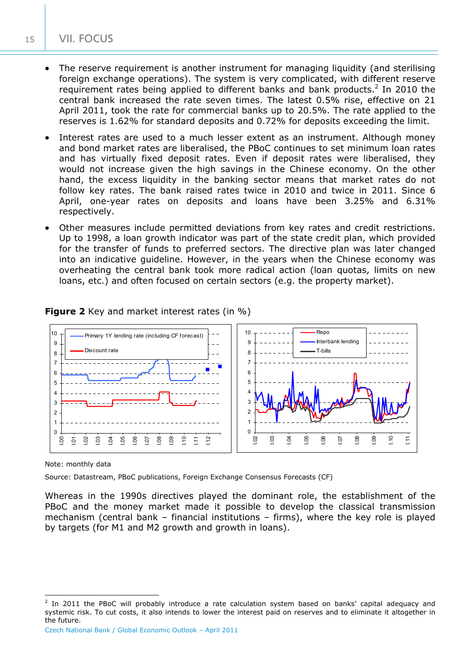- The reserve requirement is another instrument for managing liquidity (and sterilising foreign exchange operations). The system is very complicated, with different reserve requirementrates being applied to different banks and bank products.<sup>2</sup> In 2010 the central bank increased the rate seven times. The latest 0.5% rise, effective on 21 April 2011, took the rate for commercial banks up to 20.5%. The rate applied to the reserves is 1.62% for standard deposits and 0.72% for deposits exceeding the limit.
- Interest rates are used to a much lesser extent as an instrument. Although money and bond market rates are liberalised, the PBoC continues to set minimum loan rates and has virtually fixed deposit rates. Even if deposit rates were liberalised, they would not increase given the high savings in the Chinese economy. On the other hand, the excess liquidity in the banking sector means that market rates do not follow key rates. The bank raised rates twice in 2010 and twice in 2011. Since 6 April, one-year rates on deposits and loans have been 3.25% and 6.31% respectively.
- Other measures include permitted deviations from key rates and credit restrictions. Up to 1998, a loan growth indicator was part of the state credit plan, which provided for the transfer of funds to preferred sectors. The directive plan was later changed into an indicative guideline. However, in the years when the Chinese economy was overheating the central bank took more radical action (loan quotas, limits on new loans, etc.) and often focused on certain sectors (e.g. the property market).



**Figure 2** Key and market interest rates (in %)

Note: monthly data

Source: Datastream, PBoC publications, Foreign Exchange Consensus Forecasts (CF)

Whereas in the 1990s directives played the dominant role, the establishment of the PBoC and the money market made it possible to develop the classical transmission mechanism (central bank – financial institutions – firms), where the key role is played by targets (for M1 and M2 growth and growth in loans).

<span id="page-14-0"></span> $\overline{a}$ 2 In 2011 the PBoC will probably introduce a rate calculation system based on banks' capital adequacy and systemic risk. To cut costs, it also intends to lower the interest paid on reserves and to eliminate it altogether in the future.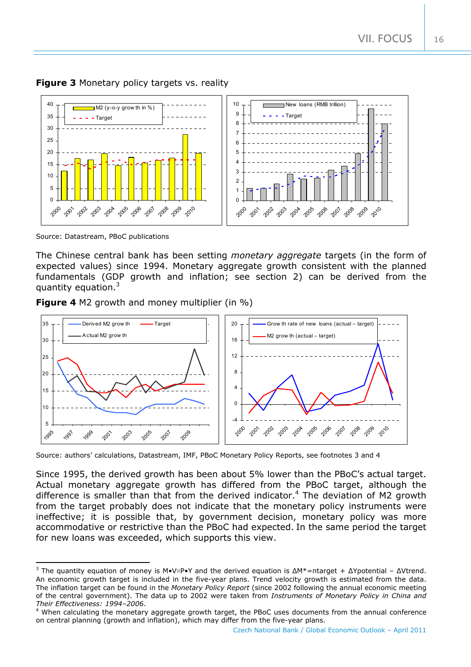**Figure 3** Monetary policy targets vs. reality



Source: Datastream, PBoC publications

The Chinese central bank has been setting *monetary aggregate* targets (in the form of expected values) since 1994. Monetary aggregate growth consistent with the planned fundamentals (GDP growth and inflation; see section 2) can be derived from the quantity equation[.](#page-15-0)

**Figure 4** M2 growth and money multiplier (in %)



Source: authors' calculations, Datastream, IMF, PBoC Monetary Policy Reports, see footnotes 3 and 4

Since 1995, the derived growth has been about 5% lower than the PBoC's actual target. Actual monetary aggregate growth has differed from the PBoC target, although the difference is smaller than that from the derived indicator.<sup>[4](#page-15-1)</sup> The deviation of M2 growth from the target probably does not indicate that the monetary policy instruments were ineffective; it is possible that, by government decision, monetary policy was more accommodative or restrictive than the PBoC had expected. In the same period the target for new loans was exceeded, which supports this view.

<span id="page-15-0"></span><sup>&</sup>lt;sup>3</sup> The quantity equation of money is M•V≡P•Y and the derived equation is  $\Delta M^*$ =πtarget +  $\Delta Y$ potential -  $\Delta V$ trend. An economic growth target is included in the five-year plans. Trend velocity growth is estimated from the data. The inflation target can be found in the *Monetary Policy Report* (since 2002 following the annual economic meeting of the central government). The data up to 2002 were taken from *Instruments of Monetary Policy in China and Their Effectiveness: 1994–2006*. 4

<span id="page-15-1"></span><sup>&</sup>lt;sup>4</sup> When calculating the monetary aggregate growth target, the PBoC uses documents from the annual conference on central planning (growth and inflation), which may differ from the five-year plans.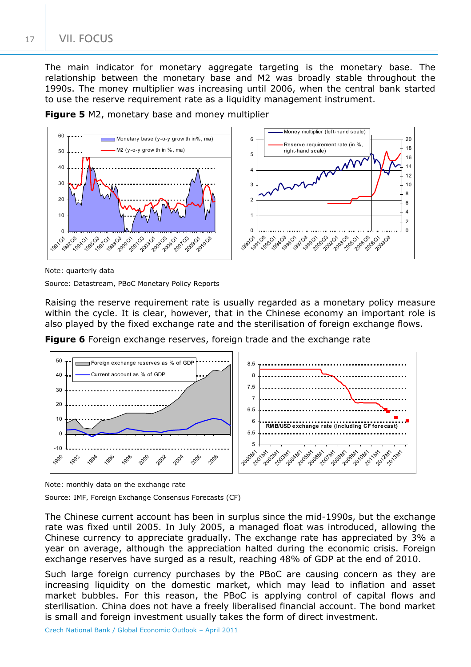## VII. FOCUS

The main indicator for monetary aggregate targeting is the monetary base. The relationship between the monetary base and M2 was broadly stable throughout the 1990s. The money multiplier was increasing until 2006, when the central bank started to use the reserve requirement rate as a liquidity management instrument.

**Figure 5** M2, monetary base and money multiplier



Note: quarterly data

Source: Datastream, PBoC Monetary Policy Reports

Raising the reserve requirement rate is usually regarded as a monetary policy measure within the cycle. It is clear, however, that in the Chinese economy an important role is also played by the fixed exchange rate and the sterilisation of foreign exchange flows.

**Figure 6** Foreign exchange reserves, foreign trade and the exchange rate



Note: monthly data on the exchange rate

Source: IMF, Foreign Exchange Consensus Forecasts (CF)

The Chinese current account has been in surplus since the mid-1990s, but the exchange rate was fixed until 2005. In July 2005, a managed float was introduced, allowing the Chinese currency to appreciate gradually. The exchange rate has appreciated by 3% a year on average, although the appreciation halted during the economic crisis. Foreign exchange reserves have surged as a result, reaching 48% of GDP at the end of 2010.

Such large foreign currency purchases by the PBoC are causing concern as they are increasing liquidity on the domestic market, which may lead to inflation and asset market bubbles. For this reason, the PBoC is applying control of capital flows and sterilisation. China does not have a freely liberalised financial account. The bond market is small and foreign investment usually takes the form of direct investment.

Czech National Bank / Global Economic Outlook – April 2011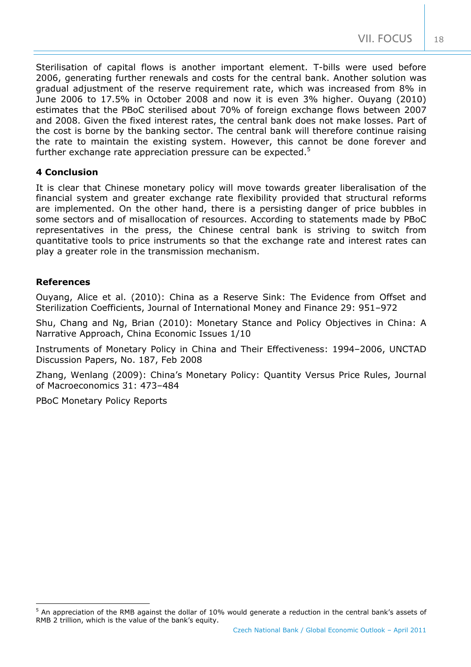18

Sterilisation of capital flows is another important element. T-bills were used before 2006, generating further renewals and costs for the central bank. Another solution was gradual adjustment of the reserve requirement rate, which was increased from 8% in June 2006 to 17.5% in October 2008 and now it is even 3% higher. Ouyang (2010) estimates that the PBoC sterilised about 70% of foreign exchange flows between 2007 and 2008. Given the fixed interest rates, the central bank does not make losses. Part of the cost is borne by the banking sector. The central bank will therefore continue raising the rate to maintain the existing system. However, this cannot be done forever and further exchange rate appreciation pressure can be expected. $5$ 

## **4 Conclusion**

It is clear that Chinese monetary policy will move towards greater liberalisation of the financial system and greater exchange rate flexibility provided that structural reforms are implemented. On the other hand, there is a persisting danger of price bubbles in some sectors and of misallocation of resources. According to statements made by PBoC representatives in the press, the Chinese central bank is striving to switch from quantitative tools to price instruments so that the exchange rate and interest rates can play a greater role in the transmission mechanism.

## **References**

1

Ouyang, Alice et al. (2010): China as a Reserve Sink: The Evidence from Offset and Sterilization Coefficients, Journal of International Money and Finance 29: 951–972

Shu, Chang and Ng, Brian (2010): Monetary Stance and Policy Objectives in China: A Narrative Approach, China Economic Issues 1/10

Instruments of Monetary Policy in China and Their Effectiveness: 1994–2006, UNCTAD Discussion Papers, No. 187, Feb 2008

Zhang, Wenlang (2009): China's Monetary Policy: Quantity Versus Price Rules, Journal of Macroeconomics 31: 473–484

PBoC Monetary Policy Reports

<span id="page-17-0"></span> $^5$  An appreciation of the RMB against the dollar of 10% would generate a reduction in the central bank's assets of RMB 2 trillion, which is the value of the bank's equity.